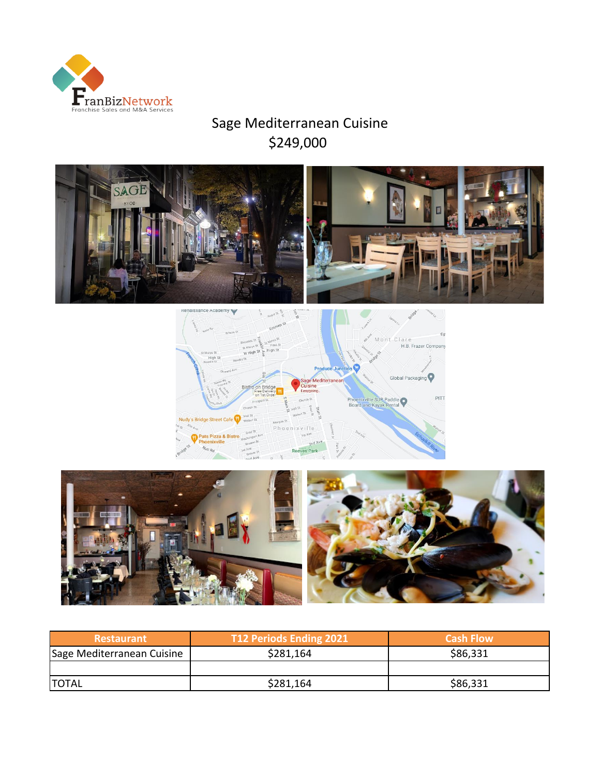

# Sage Mediterranean Cuisine \$249,000







| <b>Restaurant</b>          | T12 Periods Ending 2021 | <b>Cash Flow</b> |
|----------------------------|-------------------------|------------------|
| Sage Mediterranean Cuisine | \$281,164               | \$86,331         |
|                            |                         |                  |
| <b>ITOTAL</b>              | \$281,164               | \$86,331         |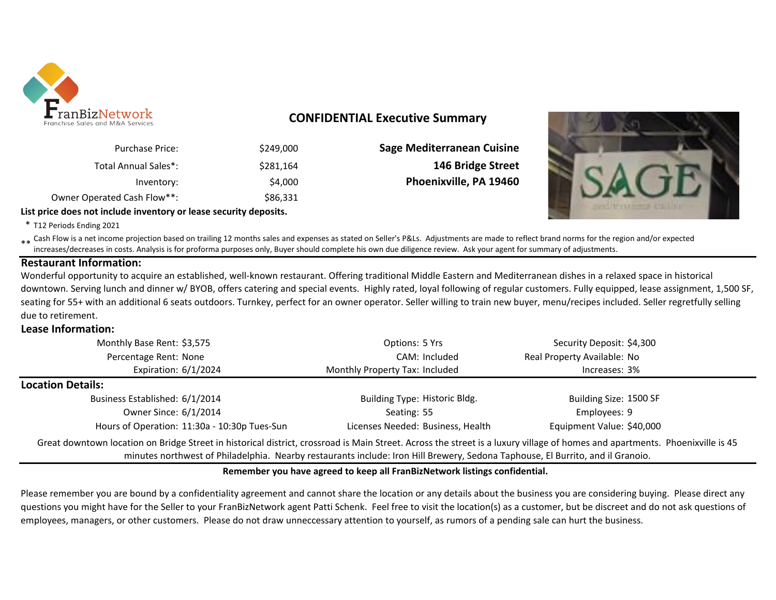

### **CONFIDENTIAL Executive Summary**

| <b>Sage Mediterranean Cuisine</b> | \$249,000 | <b>Purchase Price:</b>      |
|-----------------------------------|-----------|-----------------------------|
| 146 Bridge Street                 | \$281.164 | <b>Total Annual Sales*:</b> |
| Phoenixville, PA 19460            | \$4,000   | Inventory:                  |
|                                   | \$86.331  | Owner Operated Cash Flow**: |
|                                   |           |                             |

**List price does not include inventory or lease security deposits.**

\* T12 Periods Ending 2021

\*\* Cash Flow is a net income projection based on trailing 12 months sales and expenses as stated on Seller's P&Ls. Adjustments are made to reflect brand norms for the region and/or expected<br>increases (decreases in cests, A increases/decreases in costs. Analysis is for proforma purposes only, Buyer should complete his own due diligence review. Ask your agent for summary of adjustments.

#### **Restaurant Information:**

Wonderful opportunity to acquire an established, well-known restaurant. Offering traditional Middle Eastern and Mediterranean dishes in a relaxed space in historical downtown. Serving lunch and dinner w/ BYOB, offers catering and special events. Highly rated, loyal following of regular customers. Fully equipped, lease assignment, 1,500 SF, seating for 55+ with an additional 6 seats outdoors. Turnkey, perfect for an owner operator. Seller willing to train new buyer, menu/recipes included. Seller regretfully selling due to retirement.

#### **Lease Information:**

| Monthly Base Rent: \$3,575                                                                                                                                                                                                                                                                                     | Options: 5 Yrs                    | Security Deposit: \$4,300   |  |  |  |  |  |
|----------------------------------------------------------------------------------------------------------------------------------------------------------------------------------------------------------------------------------------------------------------------------------------------------------------|-----------------------------------|-----------------------------|--|--|--|--|--|
| Percentage Rent: None                                                                                                                                                                                                                                                                                          | CAM: Included                     | Real Property Available: No |  |  |  |  |  |
| Expiration: 6/1/2024                                                                                                                                                                                                                                                                                           | Monthly Property Tax: Included    | Increases: 3%               |  |  |  |  |  |
| <b>Location Details:</b>                                                                                                                                                                                                                                                                                       |                                   |                             |  |  |  |  |  |
| Business Established: 6/1/2014                                                                                                                                                                                                                                                                                 | Building Type: Historic Bldg.     | Building Size: 1500 SF      |  |  |  |  |  |
| Owner Since: 6/1/2014                                                                                                                                                                                                                                                                                          | Seating: 55                       | Employees: 9                |  |  |  |  |  |
| Hours of Operation: 11:30a - 10:30p Tues-Sun                                                                                                                                                                                                                                                                   | Licenses Needed: Business, Health | Equipment Value: \$40,000   |  |  |  |  |  |
| Great downtown location on Bridge Street in historical district, crossroad is Main Street. Across the street is a luxury village of homes and apartments. Phoenixville is 45<br>minutes northwest of Philadelphia. Nearby restaurants include: Iron Hill Brewery, Sedona Taphouse, El Burrito, and il Granoio. |                                   |                             |  |  |  |  |  |

#### **Remember you have agreed to keep all FranBizNetwork listings confidential.**

Please remember you are bound by a confidentiality agreement and cannot share the location or any details about the business you are considering buying. Please direct any questions you might have for the Seller to your FranBizNetwork agent Patti Schenk. Feel free to visit the location(s) as a customer, but be discreet and do not ask questions of employees, managers, or other customers. Please do not draw unneccessary attention to yourself, as rumors of a pending sale can hurt the business.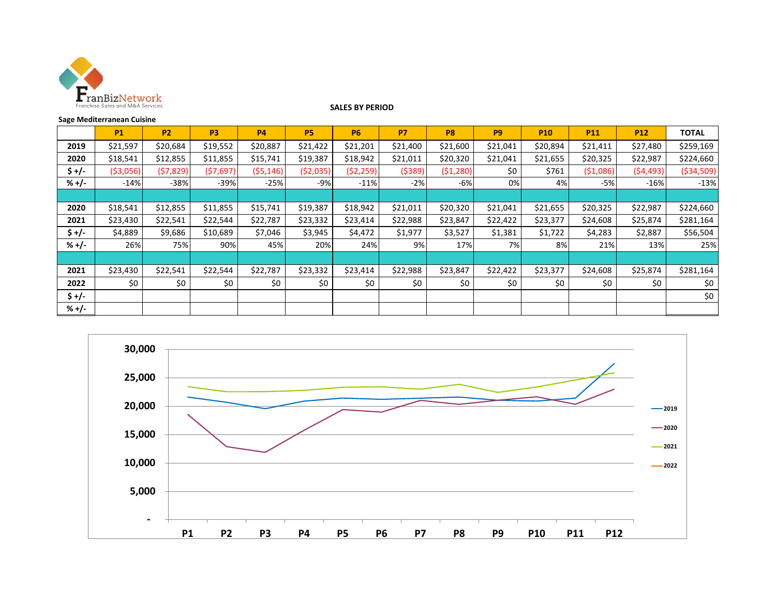

#### **SALES BY PERIOD**

#### **Sage Mediterranean Cuisine**

|         | <b>P1</b>  | P <sub>2</sub> | P <sub>3</sub> | <b>P4</b> | <b>P5</b> | <b>P6</b> | <b>P7</b> | P <sub>8</sub> | P <sub>9</sub> | <b>P10</b> | <b>P11</b> | <b>P12</b> | <b>TOTAL</b> |
|---------|------------|----------------|----------------|-----------|-----------|-----------|-----------|----------------|----------------|------------|------------|------------|--------------|
| 2019    | \$21,597   | \$20,684       | \$19,552       | \$20,887  | \$21,422  | \$21,201  | \$21,400  | \$21,600       | \$21,041       | \$20,894   | \$21,411   | \$27,480   | \$259,169    |
| 2020    | \$18,541   | \$12,855       | \$11,855       | \$15,741  | \$19,387  | \$18,942  | \$21,011  | \$20,320       | \$21,041       | \$21,655   | \$20,325   | \$22,987   | \$224,660    |
| \$ +/-  | ( \$3,056) | (57, 829)      | (57, 697)      | (55, 146) | (52,035)  | (52, 259) | (5389)    | (51, 280)      | \$0            | \$761      | (51,086)   | (54, 493)  | ( \$34, 509) |
| $% +/-$ | $-14%$     | $-38%$         | $-39%$         | $-25%$    | $-9%$     | $-11%$    | $-2%$     | $-6%$          | 0%             | 4%         | -5%        | $-16%$     | $-13%$       |
|         |            |                |                |           |           |           |           |                |                |            |            |            |              |
| 2020    | \$18,541   | \$12,855       | \$11,855       | \$15,741  | \$19,387  | \$18,942  | \$21,011  | \$20,320       | \$21,041       | \$21,655   | \$20,325   | \$22,987   | \$224,660    |
| 2021    | \$23,430   | \$22,541       | \$22,544       | \$22,787  | \$23,332  | \$23,414  | \$22,988  | \$23,847       | \$22,422       | \$23,377   | \$24,608   | \$25,874   | \$281,164    |
| $5 +/-$ | \$4,889    | \$9,686        | \$10,689       | \$7,046   | \$3,945   | \$4,472   | \$1,977   | \$3,527        | \$1,381        | \$1,722    | \$4,283    | \$2,887    | \$56,504     |
| $% +/-$ | 26%        | 75%            | 90%            | 45%       | 20%       | 24%       | $9\%$     | 17%            | 7%             | 8%         | 21%        | 13%        | 25%          |
|         |            |                |                |           |           |           |           |                |                |            |            |            |              |
| 2021    | \$23,430   | \$22,541       | \$22,544       | \$22,787  | \$23,332  | \$23,414  | \$22,988  | \$23,847       | \$22,422       | \$23,377   | \$24,608   | \$25,874   | \$281,164    |
| 2022    | \$0        | \$0            | \$0            | \$0       | \$0       | \$0       | \$0       | \$0            | \$0            | \$0        | \$0        | \$0        | \$0          |
| $5 +/-$ |            |                |                |           |           |           |           |                |                |            |            |            | \$0          |
| $% +/-$ |            |                |                |           |           |           |           |                |                |            |            |            |              |